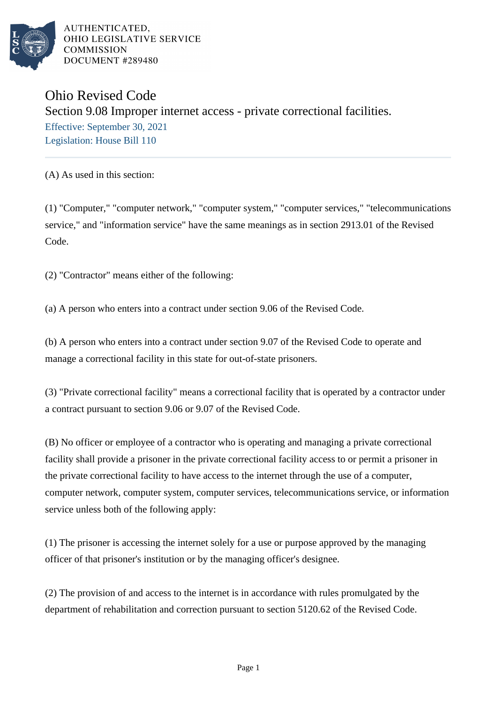

AUTHENTICATED. OHIO LEGISLATIVE SERVICE **COMMISSION** DOCUMENT #289480

## Ohio Revised Code Section 9.08 Improper internet access - private correctional facilities. Effective: September 30, 2021 Legislation: House Bill 110

(A) As used in this section:

(1) "Computer," "computer network," "computer system," "computer services," "telecommunications service," and "information service" have the same meanings as in section 2913.01 of the Revised Code.

(2) "Contractor" means either of the following:

(a) A person who enters into a contract under section 9.06 of the Revised Code.

(b) A person who enters into a contract under section 9.07 of the Revised Code to operate and manage a correctional facility in this state for out-of-state prisoners.

(3) "Private correctional facility" means a correctional facility that is operated by a contractor under a contract pursuant to section 9.06 or 9.07 of the Revised Code.

(B) No officer or employee of a contractor who is operating and managing a private correctional facility shall provide a prisoner in the private correctional facility access to or permit a prisoner in the private correctional facility to have access to the internet through the use of a computer, computer network, computer system, computer services, telecommunications service, or information service unless both of the following apply:

(1) The prisoner is accessing the internet solely for a use or purpose approved by the managing officer of that prisoner's institution or by the managing officer's designee.

(2) The provision of and access to the internet is in accordance with rules promulgated by the department of rehabilitation and correction pursuant to section 5120.62 of the Revised Code.